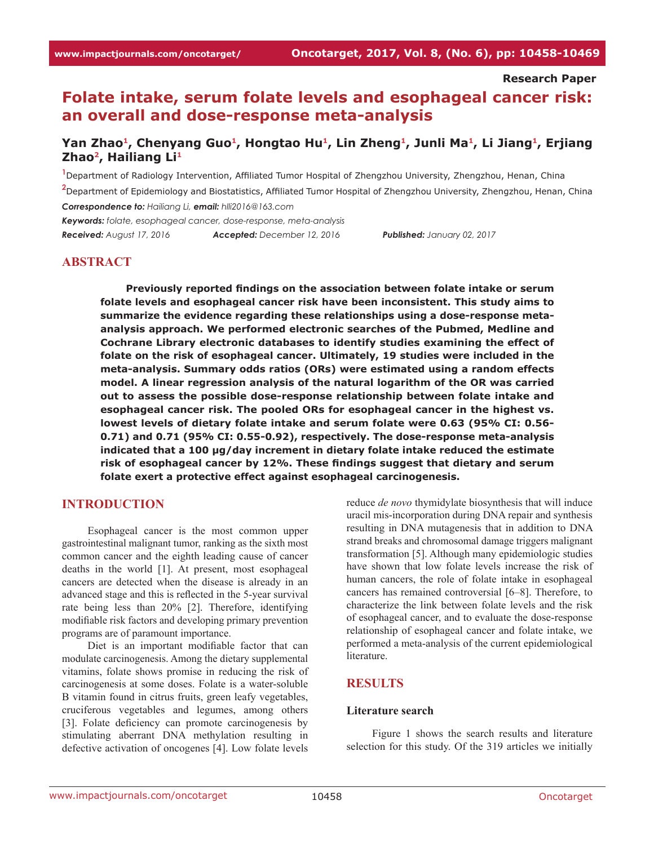**Research Paper**

# **Folate intake, serum folate levels and esophageal cancer risk: an overall and dose-response meta-analysis**

# Yan Zhao<sup>1</sup>, Chenyang Guo<sup>1</sup>, Hongtao Hu<sup>1</sup>, Lin Zheng<sup>1</sup>, Junli Ma<sup>1</sup>, Li Jiang<sup>1</sup>, Erjiang **Zhao2, Hailiang Li1**

**1** Department of Radiology Intervention, Affiliated Tumor Hospital of Zhengzhou University, Zhengzhou, Henan, China **2** Department of Epidemiology and Biostatistics, Affiliated Tumor Hospital of Zhengzhou University, Zhengzhou, Henan, China *Correspondence to: Hailiang Li, email: hlli2016@163.com*

*Keywords: folate, esophageal cancer, dose-response, meta-analysis Received: August 17, 2016 Accepted: December 12, 2016 Published: January 02, 2017*

# **ABSTRACT**

**Previously reported findings on the association between folate intake or serum folate levels and esophageal cancer risk have been inconsistent. This study aims to summarize the evidence regarding these relationships using a dose-response metaanalysis approach. We performed electronic searches of the Pubmed, Medline and Cochrane Library electronic databases to identify studies examining the effect of folate on the risk of esophageal cancer. Ultimately, 19 studies were included in the meta-analysis. Summary odds ratios (ORs) were estimated using a random effects model. A linear regression analysis of the natural logarithm of the OR was carried out to assess the possible dose-response relationship between folate intake and esophageal cancer risk. The pooled ORs for esophageal cancer in the highest vs. lowest levels of dietary folate intake and serum folate were 0.63 (95% CI: 0.56- 0.71) and 0.71 (95% CI: 0.55-0.92), respectively. The dose-response meta-analysis indicated that a 100 μg/day increment in dietary folate intake reduced the estimate risk of esophageal cancer by 12%. These findings suggest that dietary and serum folate exert a protective effect against esophageal carcinogenesis.**

### **INTRODUCTION**

Esophageal cancer is the most common upper gastrointestinal malignant tumor, ranking as the sixth most common cancer and the eighth leading cause of cancer deaths in the world [1]. At present, most esophageal cancers are detected when the disease is already in an advanced stage and this is reflected in the 5-year survival rate being less than 20% [2]. Therefore, identifying modifiable risk factors and developing primary prevention programs are of paramount importance.

Diet is an important modifiable factor that can modulate carcinogenesis. Among the dietary supplemental vitamins, folate shows promise in reducing the risk of carcinogenesis at some doses. Folate is a water-soluble B vitamin found in citrus fruits, green leafy vegetables, cruciferous vegetables and legumes, among others [3]. Folate deficiency can promote carcinogenesis by stimulating aberrant DNA methylation resulting in defective activation of oncogenes [4]. Low folate levels

reduce *de novo* thymidylate biosynthesis that will induce uracil mis-incorporation during DNA repair and synthesis resulting in DNA mutagenesis that in addition to DNA strand breaks and chromosomal damage triggers malignant transformation [5]. Although many epidemiologic studies have shown that low folate levels increase the risk of human cancers, the role of folate intake in esophageal cancers has remained controversial [6–8]. Therefore, to characterize the link between folate levels and the risk of esophageal cancer, and to evaluate the dose-response relationship of esophageal cancer and folate intake, we performed a meta-analysis of the current epidemiological literature.

# **RESULTS**

#### **Literature search**

Figure 1 shows the search results and literature selection for this study. Of the 319 articles we initially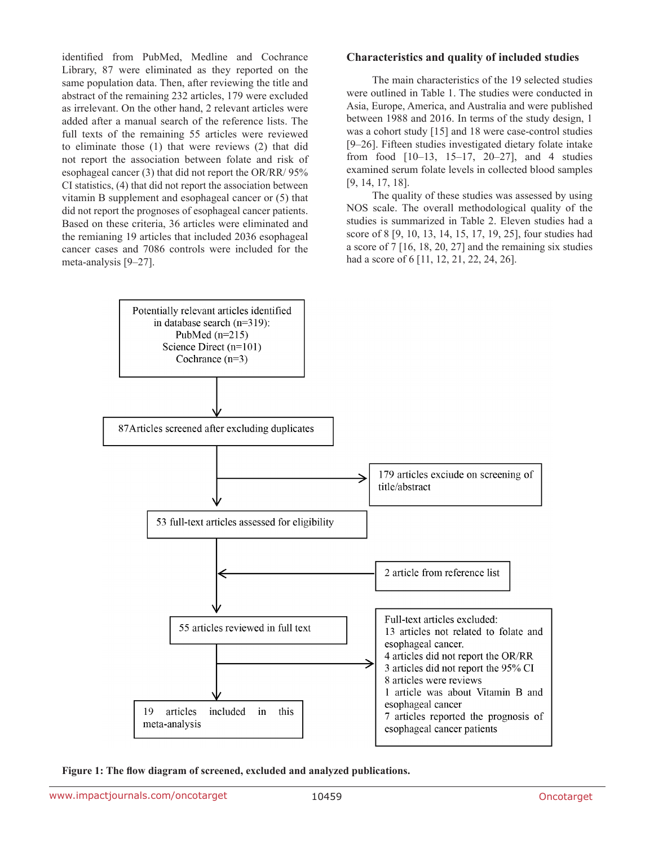identified from PubMed, Medline and Cochrance Library, 87 were eliminated as they reported on the same population data. Then, after reviewing the title and abstract of the remaining 232 articles, 179 were excluded as irrelevant. On the other hand, 2 relevant articles were added after a manual search of the reference lists. The full texts of the remaining 55 articles were reviewed to eliminate those (1) that were reviews (2) that did not report the association between folate and risk of esophageal cancer (3) that did not report the OR/RR/ 95% CI statistics, (4) that did not report the association between vitamin B supplement and esophageal cancer or (5) that did not report the prognoses of esophageal cancer patients. Based on these criteria, 36 articles were eliminated and the remianing 19 articles that included 2036 esophageal cancer cases and 7086 controls were included for the meta-analysis [9–27].

### **Characteristics and quality of included studies**

The main characteristics of the 19 selected studies were outlined in Table 1. The studies were conducted in Asia, Europe, America, and Australia and were published between 1988 and 2016. In terms of the study design, 1 was a cohort study [15] and 18 were case-control studies [9–26]. Fifteen studies investigated dietary folate intake from food [10–13, 15–17, 20–27], and 4 studies examined serum folate levels in collected blood samples [9, 14, 17, 18].

The quality of these studies was assessed by using NOS scale. The overall methodological quality of the studies is summarized in Table 2. Eleven studies had a score of 8 [9, 10, 13, 14, 15, 17, 19, 25], four studies had a score of 7 [16, 18, 20, 27] and the remaining six studies had a score of 6 [11, 12, 21, 22, 24, 26].



**Figure 1: The flow diagram of screened, excluded and analyzed publications.**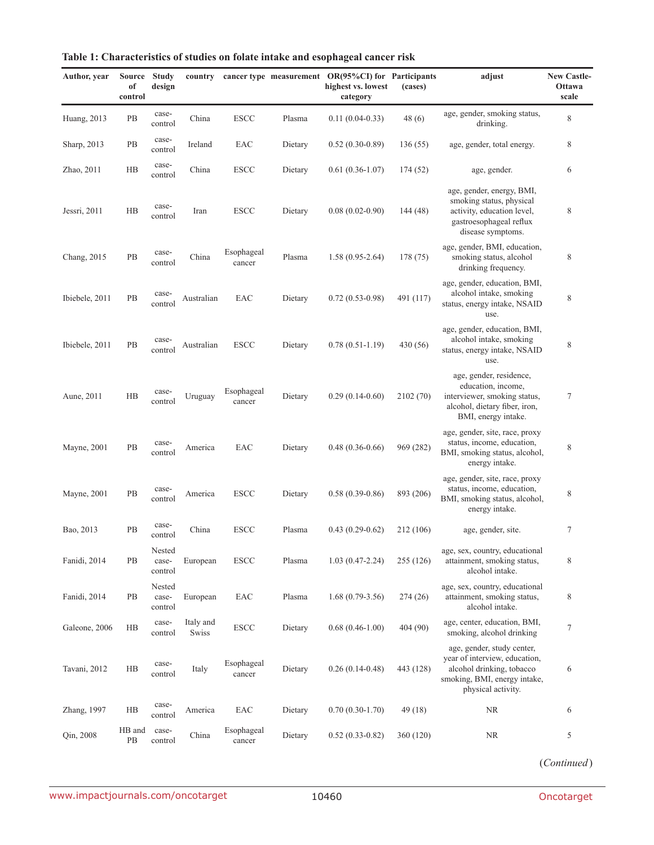| Author, year   | <b>Source</b><br>of<br>control | <b>Study</b><br>design     | country            |                      |         | cancer type measurement OR(95%CI) for Participants<br>highest vs. lowest<br>category | (cases)   | adjust                                                                                                                                         | <b>New Castle-</b><br>Ottawa<br>scale |
|----------------|--------------------------------|----------------------------|--------------------|----------------------|---------|--------------------------------------------------------------------------------------|-----------|------------------------------------------------------------------------------------------------------------------------------------------------|---------------------------------------|
| Huang, 2013    | PB                             | case-<br>control           | China              | <b>ESCC</b>          | Plasma  | $0.11(0.04-0.33)$                                                                    | 48(6)     | age, gender, smoking status,<br>drinking.                                                                                                      | $\,$ 8 $\,$                           |
| Sharp, 2013    | PB                             | case-<br>control           | Ireland            | EAC                  | Dietary | $0.52(0.30-0.89)$                                                                    | 136(55)   | age, gender, total energy.                                                                                                                     | 8                                     |
| Zhao, 2011     | HB                             | case-<br>control           | China              | <b>ESCC</b>          | Dietary | $0.61(0.36-1.07)$                                                                    | 174 (52)  | age, gender.                                                                                                                                   | 6                                     |
| Jessri, 2011   | $_{\rm HB}$                    | case-<br>control           | Iran               | <b>ESCC</b>          | Dietary | $0.08(0.02-0.90)$                                                                    | 144 (48)  | age, gender, energy, BMI,<br>smoking status, physical<br>activity, education level,<br>gastroesophageal reflux<br>disease symptoms.            | 8                                     |
| Chang, 2015    | PB                             | case-<br>control           | China              | Esophageal<br>cancer | Plasma  | $1.58(0.95-2.64)$                                                                    | 178 (75)  | age, gender, BMI, education,<br>smoking status, alcohol<br>drinking frequency.                                                                 | $\,$ 8 $\,$                           |
| Ibiebele, 2011 | PB                             | case-<br>control           | Australian         | EAC                  | Dietary | $0.72(0.53-0.98)$                                                                    | 491 (117) | age, gender, education, BMI,<br>alcohol intake, smoking<br>status, energy intake, NSAID<br>use.                                                | 8                                     |
| Ibiebele, 2011 | PB                             | case-<br>control           | Australian         | <b>ESCC</b>          | Dietary | $0.78(0.51-1.19)$                                                                    | 430 (56)  | age, gender, education, BMI,<br>alcohol intake, smoking<br>status, energy intake, NSAID<br>use.                                                | $\,$ 8 $\,$                           |
| Aune, 2011     | HB                             | case-<br>control           | Uruguay            | Esophageal<br>cancer | Dietary | $0.29(0.14-0.60)$                                                                    | 2102 (70) | age, gender, residence,<br>education, income,<br>interviewer, smoking status,<br>alcohol, dietary fiber, iron,<br>BMI, energy intake.          | $\tau$                                |
| Mayne, 2001    | PB                             | case-<br>control           | America            | EAC                  | Dietary | $0.48(0.36-0.66)$                                                                    | 969 (282) | age, gender, site, race, proxy<br>status, income, education,<br>BMI, smoking status, alcohol,<br>energy intake.                                | 8                                     |
| Mayne, 2001    | PB                             | case-<br>control           | America            | <b>ESCC</b>          | Dietary | $0.58(0.39-0.86)$                                                                    | 893 (206) | age, gender, site, race, proxy<br>status, income, education,<br>BMI, smoking status, alcohol,<br>energy intake.                                | 8                                     |
| Bao, 2013      | PB                             | case-<br>control           | China              | <b>ESCC</b>          | Plasma  | $0.43(0.29-0.62)$                                                                    | 212 (106) | age, gender, site.                                                                                                                             | 7                                     |
| Fanidi, 2014   | PB                             | Nested<br>case-<br>control | European           | <b>ESCC</b>          | Plasma  | $1.03(0.47-2.24)$                                                                    | 255 (126) | age, sex, country, educational<br>attainment, smoking status,<br>alcohol intake.                                                               | 8                                     |
| Fanidi, 2014   | PB                             | Nested<br>case-<br>control | European           | EAC                  | Plasma  | $1.68(0.79-3.56)$                                                                    | 274(26)   | age, sex, country, educational<br>attainment, smoking status,<br>alcohol intake.                                                               | 8                                     |
| Galeone, 2006  | HB                             | case-<br>control           | Italy and<br>Swiss | ${\rm{ESCC}}$        | Dietary | $0.68(0.46-1.00)$                                                                    | 404 (90)  | age, center, education, BMI,<br>smoking, alcohol drinking                                                                                      | $\tau$                                |
| Tavani, 2012   | HB                             | case-<br>control           | Italy              | Esophageal<br>cancer | Dietary | $0.26(0.14-0.48)$                                                                    | 443 (128) | age, gender, study center,<br>year of interview, education,<br>alcohol drinking, tobacco<br>smoking, BMI, energy intake,<br>physical activity. | 6                                     |
| Zhang, 1997    | HB                             | case-<br>control           | America            | EAC                  | Dietary | $0.70(0.30-1.70)$                                                                    | 49 (18)   | <b>NR</b>                                                                                                                                      | 6                                     |
| Qin, 2008      | HB and<br>PB                   | case-<br>control           | China              | Esophageal<br>cancer | Dietary | $0.52(0.33-0.82)$                                                                    | 360 (120) | NR                                                                                                                                             | 5                                     |

| Table 1: Characteristics of studies on folate intake and esophageal cancer risk |  |  |  |  |
|---------------------------------------------------------------------------------|--|--|--|--|
|---------------------------------------------------------------------------------|--|--|--|--|

(*Continued*)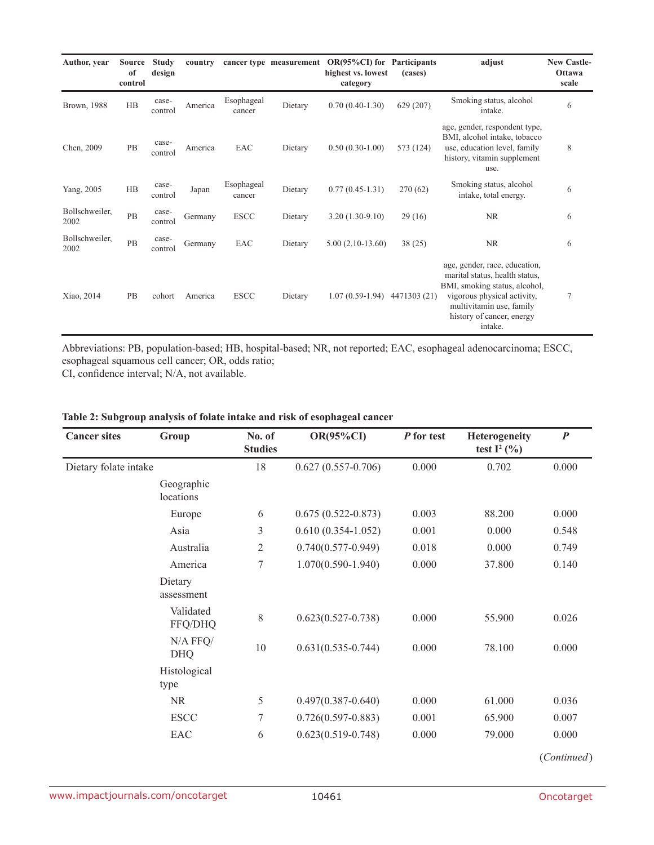| Author, year           | <b>Source</b><br>of<br>control | <b>Study</b><br>design | country |                      | cancer type measurement | $OR(95\%CI)$ for<br>highest vs. lowest<br>category | Participants<br>(cases) | adjust                                                                                                                                                                                              | <b>New Castle-</b><br>Ottawa<br>scale |
|------------------------|--------------------------------|------------------------|---------|----------------------|-------------------------|----------------------------------------------------|-------------------------|-----------------------------------------------------------------------------------------------------------------------------------------------------------------------------------------------------|---------------------------------------|
| Brown, 1988            | H B                            | case-<br>control       | America | Esophageal<br>cancer | Dietary                 | $0.70(0.40-1.30)$                                  | 629 (207)               | Smoking status, alcohol<br>intake.                                                                                                                                                                  | 6                                     |
| Chen, 2009             | PB                             | case-<br>control       | America | EAC                  | Dietary                 | $0.50(0.30-1.00)$                                  | 573 (124)               | age, gender, respondent type,<br>BMI, alcohol intake, tobacco<br>use, education level, family<br>history, vitamin supplement<br>use.                                                                | 8                                     |
| Yang, 2005             | HB                             | case-<br>control       | Japan   | Esophageal<br>cancer | Dietary                 | $0.77(0.45-1.31)$                                  | 270(62)                 | Smoking status, alcohol<br>intake, total energy.                                                                                                                                                    | 6                                     |
| Bollschweiler,<br>2002 | PB                             | case-<br>control       | Germany | <b>ESCC</b>          | Dietary                 | $3.20(1.30-9.10)$                                  | 29(16)                  | <b>NR</b>                                                                                                                                                                                           | 6                                     |
| Bollschweiler,<br>2002 | PB                             | case-<br>control       | Germany | EAC                  | Dietary                 | $5.00(2.10-13.60)$                                 | 38(25)                  | <b>NR</b>                                                                                                                                                                                           | 6                                     |
| Xiao, 2014             | PB                             | cohort                 | America | <b>ESCC</b>          | Dietary                 | $1.07(0.59-1.94)$                                  | 4471303 (21)            | age, gender, race, education,<br>marital status, health status,<br>BMI, smoking status, alcohol,<br>vigorous physical activity,<br>multivitamin use, family<br>history of cancer, energy<br>intake. | 7                                     |

Abbreviations: PB, population-based; HB, hospital-based; NR, not reported; EAC, esophageal adenocarcinoma; ESCC, esophageal squamous cell cancer; OR, odds ratio;

CI, confidence interval; N/A, not available.

| <b>Cancer sites</b>   | Group                    | No. of<br><b>Studies</b> | <b>OR(95%CI)</b>       | P for test | Heterogeneity<br>test $I^2$ (%) | $\boldsymbol{P}$ |
|-----------------------|--------------------------|--------------------------|------------------------|------------|---------------------------------|------------------|
| Dietary folate intake |                          | 18                       | $0.627(0.557-0.706)$   | 0.000      | 0.702                           | 0.000            |
|                       | Geographic<br>locations  |                          |                        |            |                                 |                  |
|                       | Europe                   | 6                        | $0.675(0.522 - 0.873)$ | 0.003      | 88.200                          | 0.000            |
|                       | Asia                     | 3                        | $0.610(0.354-1.052)$   | 0.001      | 0.000                           | 0.548            |
|                       | Australia                | $\overline{2}$           | $0.740(0.577 - 0.949)$ | 0.018      | 0.000                           | 0.749            |
|                       | America                  | 7                        | $1.070(0.590 - 1.940)$ | 0.000      | 37.800                          | 0.140            |
|                       | Dietary<br>assessment    |                          |                        |            |                                 |                  |
|                       | Validated<br>FFQ/DHQ     | 8                        | $0.623(0.527 - 0.738)$ | 0.000      | 55.900                          | 0.026            |
|                       | $N/A$ FFQ/<br><b>DHQ</b> | 10                       | $0.631(0.535 - 0.744)$ | 0.000      | 78.100                          | 0.000            |
|                       | Histological<br>type     |                          |                        |            |                                 |                  |
|                       | <b>NR</b>                | 5                        | $0.497(0.387 - 0.640)$ | 0.000      | 61.000                          | 0.036            |
|                       | <b>ESCC</b>              | 7                        | $0.726(0.597 - 0.883)$ | 0.001      | 65.900                          | 0.007            |
|                       | EAC                      | 6                        | $0.623(0.519 - 0.748)$ | 0.000      | 79.000                          | 0.000            |
|                       |                          |                          |                        |            |                                 | (Continued)      |

### **Table 2: Subgroup analysis of folate intake and risk of esophageal cancer**

(*Continued*)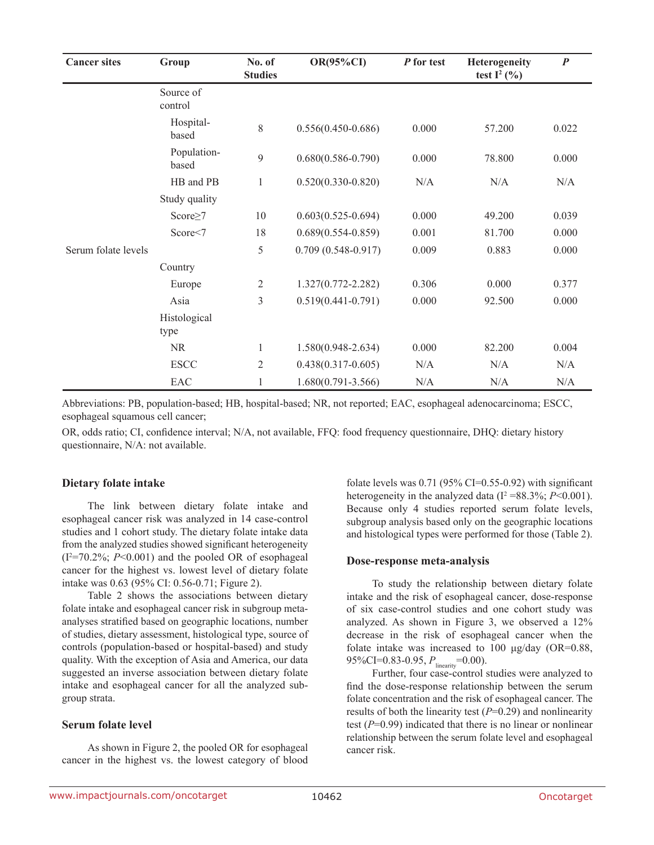| <b>Cancer sites</b> | Group                | No. of<br><b>Studies</b> | <b>OR(95%CI)</b>       | P for test | Heterogeneity<br>test $I^2$ (%) | $\boldsymbol{P}$ |
|---------------------|----------------------|--------------------------|------------------------|------------|---------------------------------|------------------|
|                     | Source of<br>control |                          |                        |            |                                 |                  |
|                     | Hospital-<br>based   | 8                        | $0.556(0.450 - 0.686)$ | 0.000      | 57.200                          | 0.022            |
|                     | Population-<br>based | 9                        | $0.680(0.586 - 0.790)$ | 0.000      | 78.800                          | 0.000            |
|                     | HB and PB            | $\mathbf{1}$             | $0.520(0.330 - 0.820)$ | N/A        | N/A                             | N/A              |
|                     | Study quality        |                          |                        |            |                                 |                  |
|                     | Score $\geq$ 7       | 10                       | $0.603(0.525 - 0.694)$ | 0.000      | 49.200                          | 0.039            |
|                     | Score<7              | 18                       | $0.689(0.554 - 0.859)$ | 0.001      | 81.700                          | 0.000            |
| Serum folate levels |                      | 5                        | $0.709(0.548-0.917)$   | 0.009      | 0.883                           | 0.000            |
|                     | Country              |                          |                        |            |                                 |                  |
|                     | Europe               | $\overline{2}$           | $1.327(0.772 - 2.282)$ | 0.306      | 0.000                           | 0.377            |
|                     | Asia                 | 3                        | $0.519(0.441 - 0.791)$ | 0.000      | 92.500                          | 0.000            |
|                     | Histological<br>type |                          |                        |            |                                 |                  |
|                     | <b>NR</b>            | $\mathbf{1}$             | $1.580(0.948 - 2.634)$ | 0.000      | 82.200                          | 0.004            |
|                     | <b>ESCC</b>          | $\overline{2}$           | $0.438(0.317 - 0.605)$ | N/A        | N/A                             | N/A              |
|                     | EAC                  | 1                        | $1.680(0.791 - 3.566)$ | N/A        | N/A                             | N/A              |

Abbreviations: PB, population-based; HB, hospital-based; NR, not reported; EAC, esophageal adenocarcinoma; ESCC, esophageal squamous cell cancer;

OR, odds ratio; CI, confidence interval; N/A, not available, FFQ: food frequency questionnaire, DHQ: dietary history questionnaire, N/A: not available.

#### **Dietary folate intake**

The link between dietary folate intake and esophageal cancer risk was analyzed in 14 case-control studies and 1 cohort study. The dietary folate intake data from the analyzed studies showed significant heterogeneity  $(I^2=70.2\%; P<0.001)$  and the pooled OR of esophageal cancer for the highest vs. lowest level of dietary folate intake was 0.63 (95% CI: 0.56-0.71; Figure 2).

Table 2 shows the associations between dietary folate intake and esophageal cancer risk in subgroup metaanalyses stratified based on geographic locations, number of studies, dietary assessment, histological type, source of controls (population-based or hospital-based) and study quality. With the exception of Asia and America, our data suggested an inverse association between dietary folate intake and esophageal cancer for all the analyzed subgroup strata.

#### **Serum folate level**

As shown in Figure 2, the pooled OR for esophageal cancer in the highest vs. the lowest category of blood folate levels was  $0.71$  (95% CI=0.55-0.92) with significant heterogeneity in the analyzed data  $(I^2 = 88.3\%; P \le 0.001)$ . Because only 4 studies reported serum folate levels, subgroup analysis based only on the geographic locations and histological types were performed for those (Table 2).

#### **Dose-response meta-analysis**

To study the relationship between dietary folate intake and the risk of esophageal cancer, dose-response of six case-control studies and one cohort study was analyzed. As shown in Figure 3, we observed a 12% decrease in the risk of esophageal cancer when the folate intake was increased to 100 μg/day (OR=0.88, 95%CI=0.83-0.95, *P*<sub>linearity</sub>=0.00).

Further, four case-control studies were analyzed to find the dose-response relationship between the serum folate concentration and the risk of esophageal cancer. The results of both the linearity test (*P*=0.29) and nonlinearity test (*P*=0.99) indicated that there is no linear or nonlinear relationship between the serum folate level and esophageal cancer risk.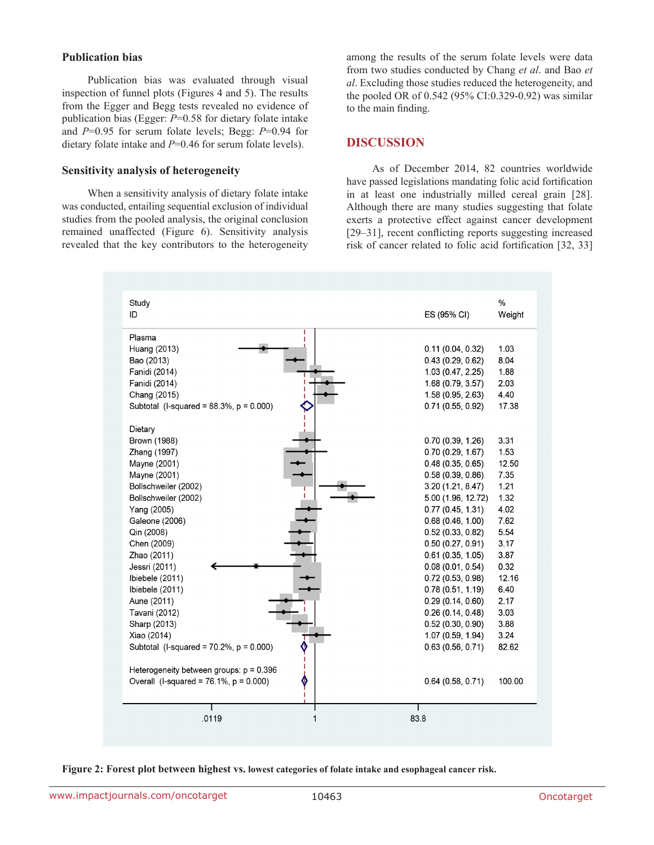### **Publication bias**

Publication bias was evaluated through visual inspection of funnel plots (Figures 4 and 5). The results from the Egger and Begg tests revealed no evidence of publication bias (Egger: *P*=0.58 for dietary folate intake and *P*=0.95 for serum folate levels; Begg: *P*=0.94 for dietary folate intake and *P*=0.46 for serum folate levels).

#### **Sensitivity analysis of heterogeneity**

When a sensitivity analysis of dietary folate intake was conducted, entailing sequential exclusion of individual studies from the pooled analysis, the original conclusion remained unaffected (Figure 6). Sensitivity analysis revealed that the key contributors to the heterogeneity

among the results of the serum folate levels were data from two studies conducted by Chang *et al*. and Bao *et al*. Excluding those studies reduced the heterogeneity, and the pooled OR of 0.542 (95% CI:0.329-0.92) was similar to the main finding.

### **DISCUSSION**

As of December 2014, 82 countries worldwide have passed legislations mandating folic acid fortification in at least one industrially milled cereal grain [28]. Although there are many studies suggesting that folate exerts a protective effect against cancer development [29–31], recent conflicting reports suggesting increased risk of cancer related to folic acid fortification [32, 33]



**Figure 2: Forest plot between highest vs. lowest categories of folate intake and esophageal cancer risk.**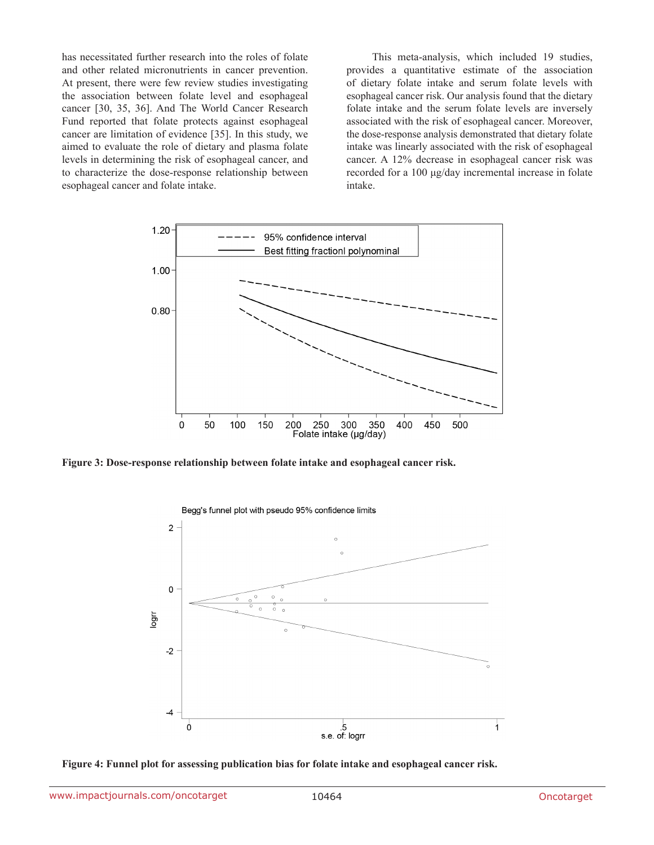has necessitated further research into the roles of folate and other related micronutrients in cancer prevention. At present, there were few review studies investigating the association between folate level and esophageal cancer [30, 35, 36]. And The World Cancer Research Fund reported that folate protects against esophageal cancer are limitation of evidence [35]. In this study, we aimed to evaluate the role of dietary and plasma folate levels in determining the risk of esophageal cancer, and to characterize the dose-response relationship between esophageal cancer and folate intake.

This meta-analysis, which included 19 studies, provides a quantitative estimate of the association of dietary folate intake and serum folate levels with esophageal cancer risk. Our analysis found that the dietary folate intake and the serum folate levels are inversely associated with the risk of esophageal cancer. Moreover, the dose-response analysis demonstrated that dietary folate intake was linearly associated with the risk of esophageal cancer. A 12% decrease in esophageal cancer risk was recorded for a 100 μg/day incremental increase in folate intake.



**Figure 3: Dose-response relationship between folate intake and esophageal cancer risk.**



**Figure 4: Funnel plot for assessing publication bias for folate intake and esophageal cancer risk.**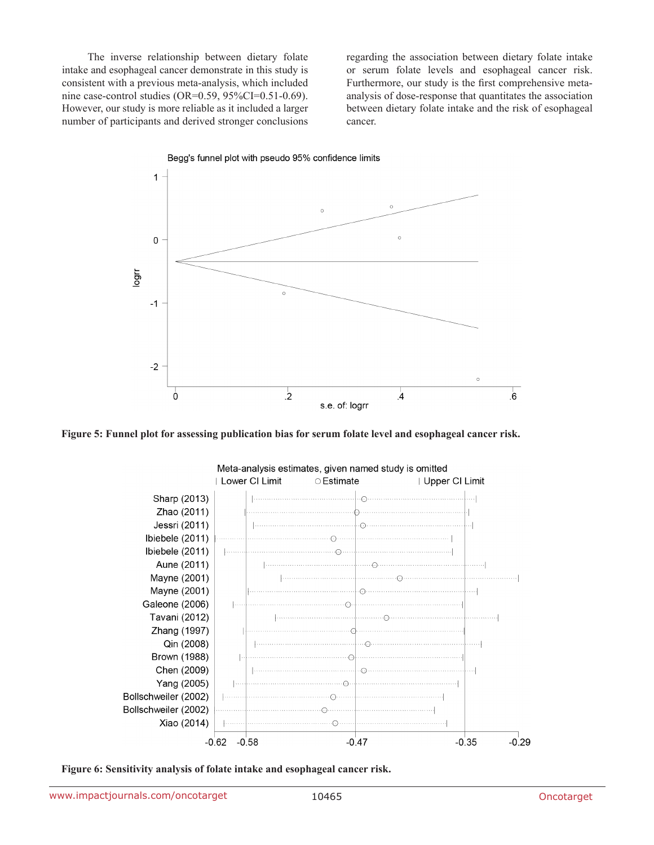The inverse relationship between dietary folate intake and esophageal cancer demonstrate in this study is consistent with a previous meta-analysis, which included nine case-control studies (OR=0.59, 95%CI=0.51-0.69). However, our study is more reliable as it included a larger number of participants and derived stronger conclusions regarding the association between dietary folate intake or serum folate levels and esophageal cancer risk. Furthermore, our study is the first comprehensive metaanalysis of dose-response that quantitates the association between dietary folate intake and the risk of esophageal cancer.



**Figure 5: Funnel plot for assessing publication bias for serum folate level and esophageal cancer risk.**



**Figure 6: Sensitivity analysis of folate intake and esophageal cancer risk.**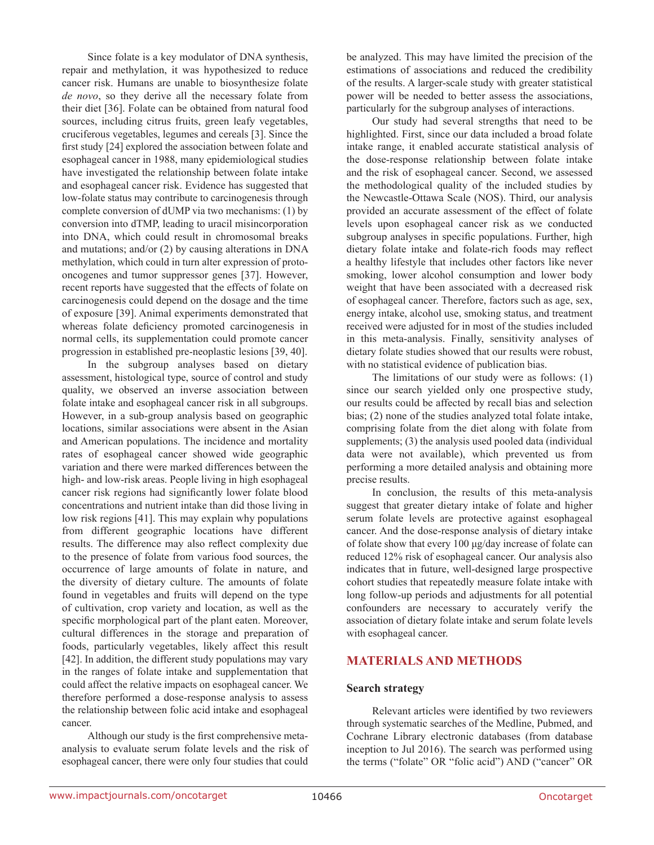Since folate is a key modulator of DNA synthesis, repair and methylation, it was hypothesized to reduce cancer risk. Humans are unable to biosynthesize folate *de novo*, so they derive all the necessary folate from their diet [36]. Folate can be obtained from natural food sources, including citrus fruits, green leafy vegetables, cruciferous vegetables, legumes and cereals [3]. Since the first study [24] explored the association between folate and esophageal cancer in 1988, many epidemiological studies have investigated the relationship between folate intake and esophageal cancer risk. Evidence has suggested that low-folate status may contribute to carcinogenesis through complete conversion of dUMP via two mechanisms: (1) by conversion into dTMP, leading to uracil misincorporation into DNA, which could result in chromosomal breaks and mutations; and/or (2) by causing alterations in DNA methylation, which could in turn alter expression of protooncogenes and tumor suppressor genes [37]. However, recent reports have suggested that the effects of folate on carcinogenesis could depend on the dosage and the time of exposure [39]. Animal experiments demonstrated that whereas folate deficiency promoted carcinogenesis in normal cells, its supplementation could promote cancer progression in established pre-neoplastic lesions [39, 40].

In the subgroup analyses based on dietary assessment, histological type, source of control and study quality, we observed an inverse association between folate intake and esophageal cancer risk in all subgroups. However, in a sub-group analysis based on geographic locations, similar associations were absent in the Asian and American populations. The incidence and mortality rates of esophageal cancer showed wide geographic variation and there were marked differences between the high- and low-risk areas. People living in high esophageal cancer risk regions had significantly lower folate blood concentrations and nutrient intake than did those living in low risk regions [41]. This may explain why populations from different geographic locations have different results. The difference may also reflect complexity due to the presence of folate from various food sources, the occurrence of large amounts of folate in nature, and the diversity of dietary culture. The amounts of folate found in vegetables and fruits will depend on the type of cultivation, crop variety and location, as well as the specific morphological part of the plant eaten. Moreover, cultural differences in the storage and preparation of foods, particularly vegetables, likely affect this result [42]. In addition, the different study populations may vary in the ranges of folate intake and supplementation that could affect the relative impacts on esophageal cancer. We therefore performed a dose-response analysis to assess the relationship between folic acid intake and esophageal cancer.

Although our study is the first comprehensive metaanalysis to evaluate serum folate levels and the risk of esophageal cancer, there were only four studies that could

be analyzed. This may have limited the precision of the estimations of associations and reduced the credibility of the results. A larger-scale study with greater statistical power will be needed to better assess the associations, particularly for the subgroup analyses of interactions.

Our study had several strengths that need to be highlighted. First, since our data included a broad folate intake range, it enabled accurate statistical analysis of the dose-response relationship between folate intake and the risk of esophageal cancer. Second, we assessed the methodological quality of the included studies by the Newcastle-Ottawa Scale (NOS). Third, our analysis provided an accurate assessment of the effect of folate levels upon esophageal cancer risk as we conducted subgroup analyses in specific populations. Further, high dietary folate intake and folate-rich foods may reflect a healthy lifestyle that includes other factors like never smoking, lower alcohol consumption and lower body weight that have been associated with a decreased risk of esophageal cancer. Therefore, factors such as age, sex, energy intake, alcohol use, smoking status, and treatment received were adjusted for in most of the studies included in this meta-analysis. Finally, sensitivity analyses of dietary folate studies showed that our results were robust, with no statistical evidence of publication bias.

The limitations of our study were as follows: (1) since our search yielded only one prospective study, our results could be affected by recall bias and selection bias; (2) none of the studies analyzed total folate intake, comprising folate from the diet along with folate from supplements; (3) the analysis used pooled data (individual data were not available), which prevented us from performing a more detailed analysis and obtaining more precise results.

In conclusion, the results of this meta-analysis suggest that greater dietary intake of folate and higher serum folate levels are protective against esophageal cancer. And the dose-response analysis of dietary intake of folate show that every 100 μg/day increase of folate can reduced 12% risk of esophageal cancer. Our analysis also indicates that in future, well-designed large prospective cohort studies that repeatedly measure folate intake with long follow-up periods and adjustments for all potential confounders are necessary to accurately verify the association of dietary folate intake and serum folate levels with esophageal cancer.

# **MATERIALS AND METHODS**

#### **Search strategy**

Relevant articles were identified by two reviewers through systematic searches of the Medline, Pubmed, and Cochrane Library electronic databases (from database inception to Jul 2016). The search was performed using the terms ("folate" OR "folic acid") AND ("cancer" OR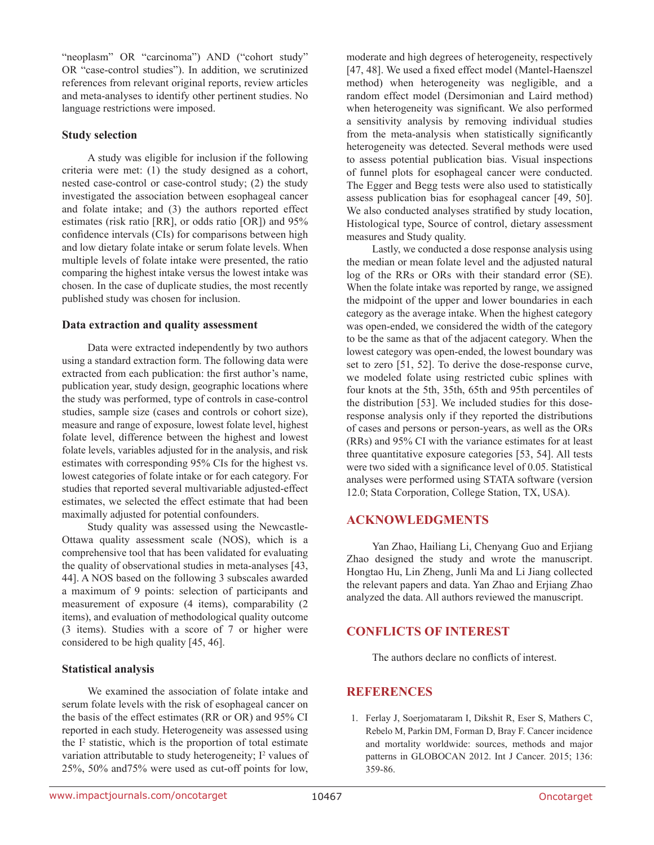"neoplasm" OR "carcinoma") AND ("cohort study" OR "case-control studies"). In addition, we scrutinized references from relevant original reports, review articles and meta-analyses to identify other pertinent studies. No language restrictions were imposed.

# **Study selection**

A study was eligible for inclusion if the following criteria were met: (1) the study designed as a cohort, nested case-control or case-control study; (2) the study investigated the association between esophageal cancer and folate intake; and (3) the authors reported effect estimates (risk ratio [RR], or odds ratio [OR]) and 95% confidence intervals (CIs) for comparisons between high and low dietary folate intake or serum folate levels. When multiple levels of folate intake were presented, the ratio comparing the highest intake versus the lowest intake was chosen. In the case of duplicate studies, the most recently published study was chosen for inclusion.

# **Data extraction and quality assessment**

Data were extracted independently by two authors using a standard extraction form. The following data were extracted from each publication: the first author's name, publication year, study design, geographic locations where the study was performed, type of controls in case-control studies, sample size (cases and controls or cohort size), measure and range of exposure, lowest folate level, highest folate level, difference between the highest and lowest folate levels, variables adjusted for in the analysis, and risk estimates with corresponding 95% CIs for the highest vs. lowest categories of folate intake or for each category. For studies that reported several multivariable adjusted-effect estimates, we selected the effect estimate that had been maximally adjusted for potential confounders.

Study quality was assessed using the Newcastle-Ottawa quality assessment scale (NOS), which is a comprehensive tool that has been validated for evaluating the quality of observational studies in meta-analyses [43, 44]. A NOS based on the following 3 subscales awarded a maximum of 9 points: selection of participants and measurement of exposure (4 items), comparability (2 items), and evaluation of methodological quality outcome (3 items). Studies with a score of 7 or higher were considered to be high quality [45, 46].

# **Statistical analysis**

We examined the association of folate intake and serum folate levels with the risk of esophageal cancer on the basis of the effect estimates (RR or OR) and 95% CI reported in each study. Heterogeneity was assessed using the I<sup>2</sup> statistic, which is the proportion of total estimate variation attributable to study heterogeneity; I<sup>2</sup> values of 25%, 50% and75% were used as cut-off points for low,

moderate and high degrees of heterogeneity, respectively [47, 48]. We used a fixed effect model (Mantel-Haenszel method) when heterogeneity was negligible, and a random effect model (Dersimonian and Laird method) when heterogeneity was significant. We also performed a sensitivity analysis by removing individual studies from the meta-analysis when statistically significantly heterogeneity was detected. Several methods were used to assess potential publication bias. Visual inspections of funnel plots for esophageal cancer were conducted. The Egger and Begg tests were also used to statistically assess publication bias for esophageal cancer [49, 50]. We also conducted analyses stratified by study location, Histological type, Source of control, dietary assessment measures and Study quality.

Lastly, we conducted a dose response analysis using the median or mean folate level and the adjusted natural log of the RRs or ORs with their standard error (SE). When the folate intake was reported by range, we assigned the midpoint of the upper and lower boundaries in each category as the average intake. When the highest category was open-ended, we considered the width of the category to be the same as that of the adjacent category. When the lowest category was open-ended, the lowest boundary was set to zero [51, 52]. To derive the dose-response curve, we modeled folate using restricted cubic splines with four knots at the 5th, 35th, 65th and 95th percentiles of the distribution [53]. We included studies for this doseresponse analysis only if they reported the distributions of cases and persons or person-years, as well as the ORs (RRs) and 95% CI with the variance estimates for at least three quantitative exposure categories [53, 54]. All tests were two sided with a significance level of 0.05. Statistical analyses were performed using STATA software (version 12.0; Stata Corporation, College Station, TX, USA).

# **ACKNOWLEDGMENTS**

Yan Zhao, Hailiang Li, Chenyang Guo and Erjiang Zhao designed the study and wrote the manuscript. Hongtao Hu, Lin Zheng, Junli Ma and Li Jiang collected the relevant papers and data. Yan Zhao and Erjiang Zhao analyzed the data. All authors reviewed the manuscript.

# **CONFLICTS OF INTEREST**

The authors declare no conflicts of interest.

# **REFERENCES**

1. Ferlay J, Soerjomataram I, Dikshit R, Eser S, Mathers C, Rebelo M, Parkin DM, Forman D, Bray F. Cancer incidence and mortality worldwide: sources, methods and major patterns in GLOBOCAN 2012. Int J Cancer. 2015; 136: 359-86.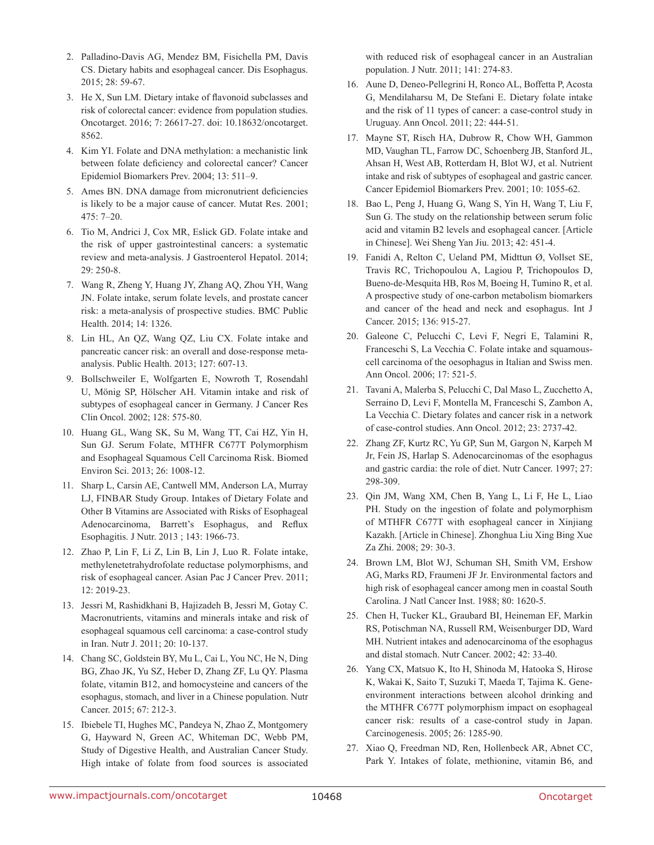- 2. Palladino-Davis AG, Mendez BM, Fisichella PM, Davis CS. Dietary habits and esophageal cancer. Dis Esophagus. 2015; 28: 59-67.
- 3. He X, Sun LM. Dietary intake of flavonoid subclasses and risk of colorectal cancer: evidence from population studies. Oncotarget. 2016; 7: 26617-27. doi: 10.18632/oncotarget. 8562.
- 4. Kim YI. Folate and DNA methylation: a mechanistic link between folate deficiency and colorectal cancer? Cancer Epidemiol Biomarkers Prev. 2004; 13: 511–9.
- 5. Ames BN. DNA damage from micronutrient deficiencies is likely to be a major cause of cancer. Mutat Res. 2001;  $475 \cdot 7 - 20$
- 6. Tio M, Andrici J, Cox MR, Eslick GD. Folate intake and the risk of upper gastrointestinal cancers: a systematic review and meta-analysis. J Gastroenterol Hepatol. 2014; 29: 250-8.
- 7. Wang R, Zheng Y, Huang JY, Zhang AQ, Zhou YH, Wang JN. Folate intake, serum folate levels, and prostate cancer risk: a meta-analysis of prospective studies. BMC Public Health. 2014; 14: 1326.
- 8. Lin HL, An QZ, Wang QZ, Liu CX. Folate intake and pancreatic cancer risk: an overall and dose-response metaanalysis. Public Health. 2013; 127: 607-13.
- 9. Bollschweiler E, Wolfgarten E, Nowroth T, Rosendahl U, Mönig SP, Hölscher AH. Vitamin intake and risk of subtypes of esophageal cancer in Germany. J Cancer Res Clin Oncol. 2002; 128: 575-80.
- 10. Huang GL, Wang SK, Su M, Wang TT, Cai HZ, Yin H, Sun GJ. Serum Folate, MTHFR C677T Polymorphism and Esophageal Squamous Cell Carcinoma Risk. Biomed Environ Sci. 2013; 26: 1008-12.
- 11. Sharp L, Carsin AE, Cantwell MM, Anderson LA, Murray LJ, FINBAR Study Group. Intakes of Dietary Folate and Other B Vitamins are Associated with Risks of Esophageal Adenocarcinoma, Barrett's Esophagus, and Reflux Esophagitis. J Nutr. 2013 ; 143: 1966-73.
- 12. Zhao P, Lin F, Li Z, Lin B, Lin J, Luo R. Folate intake, methylenetetrahydrofolate reductase polymorphisms, and risk of esophageal cancer. Asian Pac J Cancer Prev. 2011; 12: 2019-23.
- 13. Jessri M, Rashidkhani B, Hajizadeh B, Jessri M, Gotay C. Macronutrients, vitamins and minerals intake and risk of esophageal squamous cell carcinoma: a case-control study in Iran. Nutr J. 2011; 20: 10-137.
- 14. Chang SC, Goldstein BY, Mu L, Cai L, You NC, He N, Ding BG, Zhao JK, Yu SZ, Heber D, Zhang ZF, Lu QY. Plasma folate, vitamin B12, and homocysteine and cancers of the esophagus, stomach, and liver in a Chinese population. Nutr Cancer. 2015; 67: 212-3.
- 15. Ibiebele TI, Hughes MC, Pandeya N, Zhao Z, Montgomery G, Hayward N, Green AC, Whiteman DC, Webb PM, Study of Digestive Health, and Australian Cancer Study. High intake of folate from food sources is associated

with reduced risk of esophageal cancer in an Australian population. J Nutr. 2011; 141: 274-83.

- 16. Aune D, Deneo-Pellegrini H, Ronco AL, Boffetta P, Acosta G, Mendilaharsu M, De Stefani E. Dietary folate intake and the risk of 11 types of cancer: a case-control study in Uruguay. Ann Oncol. 2011; 22: 444-51.
- 17. Mayne ST, Risch HA, Dubrow R, Chow WH, Gammon MD, Vaughan TL, Farrow DC, Schoenberg JB, Stanford JL, Ahsan H, West AB, Rotterdam H, Blot WJ, et al. Nutrient intake and risk of subtypes of esophageal and gastric cancer. Cancer Epidemiol Biomarkers Prev. 2001; 10: 1055-62.
- 18. Bao L, Peng J, Huang G, Wang S, Yin H, Wang T, Liu F, Sun G. The study on the relationship between serum folic acid and vitamin B2 levels and esophageal cancer. [Article in Chinese]. Wei Sheng Yan Jiu. 2013; 42: 451-4.
- 19. Fanidi A, Relton C, Ueland PM, Midttun Ø, Vollset SE, Travis RC, Trichopoulou A, Lagiou P, Trichopoulos D, Bueno-de-Mesquita HB, Ros M, Boeing H, Tumino R, et al. A prospective study of one-carbon metabolism biomarkers and cancer of the head and neck and esophagus. Int J Cancer. 2015; 136: 915-27.
- 20. Galeone C, Pelucchi C, Levi F, Negri E, Talamini R, Franceschi S, La Vecchia C. Folate intake and squamouscell carcinoma of the oesophagus in Italian and Swiss men. Ann Oncol. 2006; 17: 521-5.
- 21. Tavani A, Malerba S, Pelucchi C, Dal Maso L, Zucchetto A, Serraino D, Levi F, Montella M, Franceschi S, Zambon A, La Vecchia C. Dietary folates and cancer risk in a network of case-control studies. Ann Oncol. 2012; 23: 2737-42.
- 22. Zhang ZF, Kurtz RC, Yu GP, Sun M, Gargon N, Karpeh M Jr, Fein JS, Harlap S. Adenocarcinomas of the esophagus and gastric cardia: the role of diet. Nutr Cancer. 1997; 27: 298-309.
- 23. Qin JM, Wang XM, Chen B, Yang L, Li F, He L, Liao PH. Study on the ingestion of folate and polymorphism of MTHFR C677T with esophageal cancer in Xinjiang Kazakh. [Article in Chinese]. Zhonghua Liu Xing Bing Xue Za Zhi. 2008; 29: 30-3.
- 24. Brown LM, Blot WJ, Schuman SH, Smith VM, Ershow AG, Marks RD, Fraumeni JF Jr. Environmental factors and high risk of esophageal cancer among men in coastal South Carolina. J Natl Cancer Inst. 1988; 80: 1620-5.
- 25. Chen H, Tucker KL, Graubard BI, Heineman EF, Markin RS, Potischman NA, Russell RM, Weisenburger DD, Ward MH. Nutrient intakes and adenocarcinoma of the esophagus and distal stomach. Nutr Cancer. 2002; 42: 33-40.
- 26. Yang CX, Matsuo K, Ito H, Shinoda M, Hatooka S, Hirose K, Wakai K, Saito T, Suzuki T, Maeda T, Tajima K. Geneenvironment interactions between alcohol drinking and the MTHFR C677T polymorphism impact on esophageal cancer risk: results of a case-control study in Japan. Carcinogenesis. 2005; 26: 1285-90.
- 27. Xiao Q, Freedman ND, Ren, Hollenbeck AR, Abnet CC, Park Y. Intakes of folate, methionine, vitamin B6, and